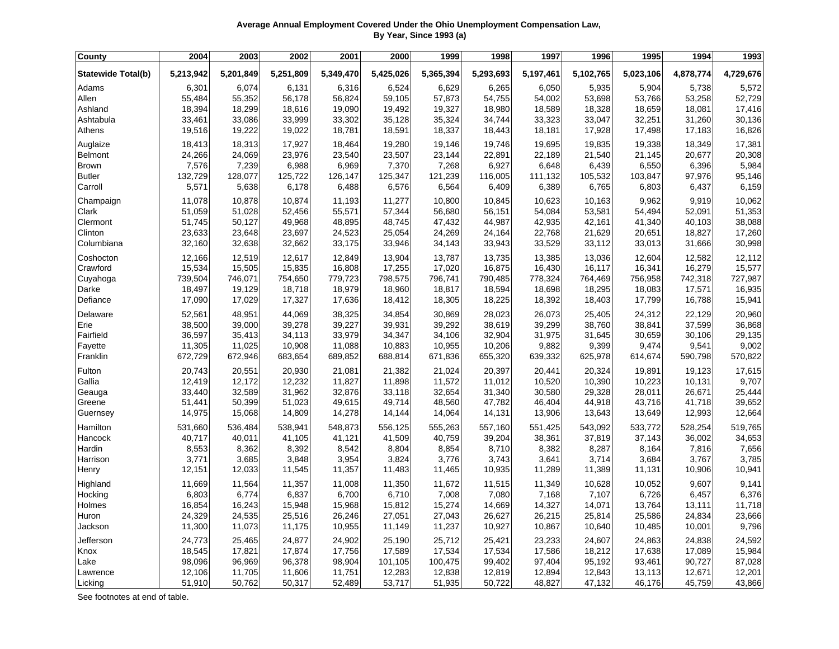| Average Annual Employment Covered Under the Ohio Unemployment Compensation Law, |
|---------------------------------------------------------------------------------|
| By Year, Since 1993 (a)                                                         |

| County                    | 2004      | 2003      | 2002      | 2001      | 2000      | 1999      | 1998      | 1997      | 1996      | 1995      | 1994      | 1993      |
|---------------------------|-----------|-----------|-----------|-----------|-----------|-----------|-----------|-----------|-----------|-----------|-----------|-----------|
| <b>Statewide Total(b)</b> | 5,213,942 | 5,201,849 | 5,251,809 | 5,349,470 | 5,425,026 | 5,365,394 | 5,293,693 | 5,197,461 | 5,102,765 | 5,023,106 | 4,878,774 | 4,729,676 |
| Adams                     | 6,301     | 6,074     | 6,131     | 6,316     | 6,524     | 6,629     | 6,265     | 6,050     | 5,935     | 5,904     | 5,738     | 5,572     |
| Allen                     | 55,484    | 55,352    | 56,178    | 56,824    | 59,105    | 57,873    | 54,755    | 54,002    | 53,698    | 53,766    | 53,258    | 52,729    |
| Ashland                   | 18,394    | 18,299    | 18,616    | 19,090    | 19,492    | 19,327    | 18,980    | 18,589    | 18,328    | 18,659    | 18,081    | 17,416    |
| Ashtabula                 | 33,461    | 33,086    | 33,999    | 33,302    | 35,128    | 35,324    | 34,744    | 33,323    | 33,047    | 32,251    | 31,260    | 30,136    |
| Athens                    | 19,516    | 19,222    | 19,022    | 18,781    | 18,591    | 18,337    | 18,443    | 18,181    | 17,928    | 17,498    | 17,183    | 16,826    |
| Auglaize                  | 18,413    | 18,313    | 17,927    | 18,464    | 19,280    | 19,146    | 19,746    | 19,695    | 19,835    | 19,338    | 18,349    | 17,381    |
| <b>Belmont</b>            | 24,266    | 24,069    | 23,976    | 23,540    | 23,507    | 23,144    | 22,891    | 22,189    | 21,540    | 21,145    | 20,677    | 20,308    |
| <b>Brown</b>              | 7,576     | 7,239     | 6,988     | 6,969     | 7,370     | 7,268     | 6,927     | 6,648     | 6,439     | 6,550     | 6,396     | 5,984     |
| <b>Butler</b>             | 132,729   | 128,077   | 125,722   | 126,147   | 125,347   | 121,239   | 116,005   | 111,132   | 105,532   | 103,847   | 97,976    | 95,146    |
| Carroll                   | 5,571     | 5,638     | 6,178     | 6,488     | 6,576     | 6,564     | 6,409     | 6,389     | 6,765     | 6,803     | 6,437     | 6,159     |
| Champaign                 | 11,078    | 10,878    | 10,874    | 11,193    | 11,277    | 10,800    | 10,845    | 10,623    | 10,163    | 9,962     | 9,919     | 10,062    |
| Clark                     | 51,059    | 51,028    | 52,456    | 55,571    | 57,344    | 56,680    | 56,151    | 54,084    | 53,581    | 54,494    | 52,091    | 51,353    |
| Clermont                  | 51,745    | 50,127    | 49,968    | 48,895    | 48,745    | 47,432    | 44,987    | 42,935    | 42,161    | 41,340    | 40,103    | 38,088    |
| Clinton                   | 23,633    | 23,648    | 23,697    | 24,523    | 25,054    | 24,269    | 24,164    | 22,768    | 21,629    | 20,651    | 18,827    | 17,260    |
| Columbiana                | 32,160    | 32,638    | 32,662    | 33,175    | 33,946    | 34,143    | 33,943    | 33,529    | 33,112    | 33,013    | 31,666    | 30,998    |
| Coshocton                 | 12,166    | 12,519    | 12,617    | 12,849    | 13,904    | 13,787    | 13,735    | 13,385    | 13,036    | 12,604    | 12,582    | 12,112    |
| Crawford                  | 15,534    | 15,505    | 15,835    | 16,808    | 17,255    | 17,020    | 16,875    | 16,430    | 16,117    | 16,341    | 16,279    | 15,577    |
| Cuyahoga                  | 739,504   | 746,071   | 754,650   | 779,723   | 798,575   | 796,741   | 790,485   | 778,324   | 764,469   | 756,958   | 742,318   | 727,987   |
| Darke                     | 18,497    | 19,129    | 18,718    | 18,979    | 18,960    | 18,817    | 18,594    | 18,698    | 18,295    | 18,083    | 17,571    | 16,935    |
| Defiance                  | 17,090    | 17,029    | 17,327    | 17,636    | 18,412    | 18,305    | 18,225    | 18,392    | 18,403    | 17,799    | 16,788    | 15,941    |
| Delaware                  | 52,561    | 48,951    | 44,069    | 38,325    | 34,854    | 30,869    | 28,023    | 26,073    | 25,405    | 24,312    | 22,129    | 20,960    |
| Erie                      | 38,500    | 39,000    | 39,278    | 39,227    | 39,931    | 39,292    | 38,619    | 39,299    | 38,760    | 38,841    | 37,599    | 36,868    |
| Fairfield                 | 36,597    | 35,413    | 34,113    | 33,979    | 34,347    | 34,106    | 32,904    | 31,975    | 31,645    | 30,659    | 30,106    | 29,135    |
| Fayette                   | 11,305    | 11,025    | 10,908    | 11,088    | 10,883    | 10,955    | 10,206    | 9,882     | 9,399     | 9,474     | 9,541     | 9,002     |
| Franklin                  | 672,729   | 672,946   | 683,654   | 689,852   | 688,814   | 671,836   | 655,320   | 639,332   | 625,978   | 614,674   | 590,798   | 570,822   |
| Fulton                    | 20,743    | 20,551    | 20,930    | 21,081    | 21,382    | 21,024    | 20,397    | 20,441    | 20,324    | 19,891    | 19,123    | 17,615    |
| Gallia                    | 12,419    | 12,172    | 12,232    | 11,827    | 11,898    | 11,572    | 11,012    | 10,520    | 10,390    | 10,223    | 10,131    | 9,707     |
| Geauga                    | 33,440    | 32,589    | 31,962    | 32,876    | 33,118    | 32,654    | 31,340    | 30,580    | 29,328    | 28,011    | 26,671    | 25,444    |
| Greene                    | 51,441    | 50,399    | 51,023    | 49,615    | 49,714    | 48,560    | 47,782    | 46,404    | 44,918    | 43,716    | 41,718    | 39,652    |
| Guernsey                  | 14,975    | 15,068    | 14,809    | 14,278    | 14,144    | 14,064    | 14,131    | 13,906    | 13,643    | 13,649    | 12,993    | 12,664    |
| Hamilton                  | 531,660   | 536,484   | 538,941   | 548,873   | 556,125   | 555,263   | 557,160   | 551,425   | 543,092   | 533,772   | 528,254   | 519,765   |
| Hancock                   | 40,717    | 40,011    | 41,105    | 41,121    | 41,509    | 40,759    | 39,204    | 38,361    | 37,819    | 37,143    | 36,002    | 34,653    |
| Hardin                    | 8,553     | 8,362     | 8,392     | 8,542     | 8,804     | 8,854     | 8,710     | 8,382     | 8,287     | 8,164     | 7,816     | 7,656     |
| Harrison                  | 3,771     | 3,685     | 3,848     | 3,954     | 3,824     | 3,776     | 3,743     | 3,641     | 3,714     | 3,684     | 3,767     | 3,785     |
| Henry                     | 12,151    | 12,033    | 11,545    | 11,357    | 11,483    | 11,465    | 10,935    | 11,289    | 11,389    | 11,131    | 10,906    | 10,941    |
| Highland                  | 11,669    | 11,564    | 11,357    | 11,008    | 11,350    | 11,672    | 11,515    | 11,349    | 10,628    | 10,052    | 9,607     | 9,141     |
| Hocking                   | 6,803     | 6,774     | 6,837     | 6,700     | 6,710     | 7,008     | 7,080     | 7,168     | 7,107     | 6,726     | 6,457     | 6,376     |
| Holmes                    | 16,854    | 16,243    | 15,948    | 15,968    | 15,812    | 15,274    | 14,669    | 14,327    | 14,071    | 13,764    | 13,111    | 11,718    |
| Huron                     | 24,329    | 24,535    | 25,516    | 26,246    | 27,051    | 27,043    | 26,627    | 26,215    | 25,814    | 25,586    | 24,834    | 23,666    |
| Jackson                   | 11,300    | 11,073    | 11,175    | 10,955    | 11,149    | 11,237    | 10,927    | 10,867    | 10,640    | 10,485    | 10,001    | 9,796     |
| Jefferson                 | 24,773    | 25,465    | 24,877    | 24,902    | 25,190    | 25,712    | 25,421    | 23,233    | 24,607    | 24,863    | 24,838    | 24,592    |
| Knox                      | 18,545    | 17,821    | 17,874    | 17,756    | 17,589    | 17,534    | 17,534    | 17,586    | 18,212    | 17,638    | 17,089    | 15,984    |
| Lake                      | 98,096    | 96,969    | 96,378    | 98,904    | 101,105   | 100,475   | 99,402    | 97,404    | 95,192    | 93,461    | 90,727    | 87,028    |
| Lawrence                  | 12,106    | 11,705    | 11,606    | 11,751    | 12,283    | 12,838    | 12,819    | 12,894    | 12,843    | 13,113    | 12,671    | 12,201    |
| Licking                   | 51,910    | 50,762    | 50,317    | 52,489    | 53,717    | 51,935    | 50,722    | 48,827    | 47,132    | 46,176    | 45,759    | 43,866    |

See footnotes at end of table.